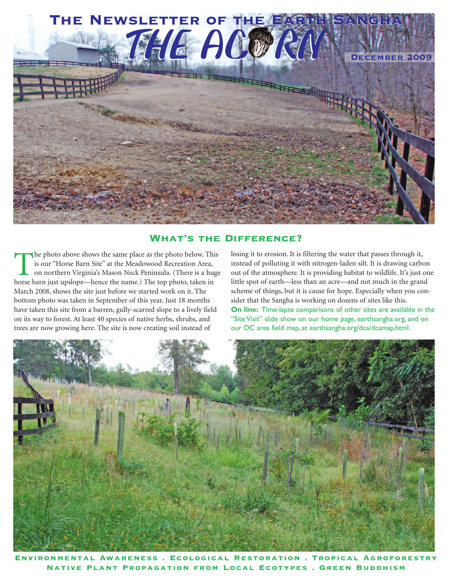

## **What's the Difference?**

The photo above shows the same place as the photo below. This<br>is our "Horse Barn Site" at the Meadowood Recreation Area,<br>on northern Virginia's Mason Neck Peninsula. (There is a huge<br>horse barn iust upslone—hence the name) is our "Horse Barn Site" at the Meadowood Recreation Area, on northern Virginia's Mason Neck Peninsula. (There is a huge horse barn just upslope—hence the name.) The top photo, taken in March 2008, shows the site just before we started work on it. The bottom photo was taken in September of this year. Just 18 months have taken this site from a barren, gully-scarred slope to a lively field on its way to forest. At least 40 species of native herbs, shrubs, and trees are now growing here. The site is now creating soil instead of

losing it to erosion. It is filtering the water that passes through it, instead of polluting it with nitrogen-laden silt. It is drawing carbon out of the atmosphere. It is providing habitat to wildlife. It's just one little spot of earth—less than an acre—and not much in the grand scheme of things, but it is cause for hope. Especially when you consider that the Sangha is working on dozens of sites like this. **On line:** Time-lapse comparisons of other sites are available in the "Site Visit" slide show on our home page, earthsangha.org, and on our DC area field map, at earthsangha.org/dca/dcamap.html.



**Environmental Awareness . Ecological Restoration . Tropical Agroforestry Native Plant Propagation from Local Ecotypes . Green Buddhism**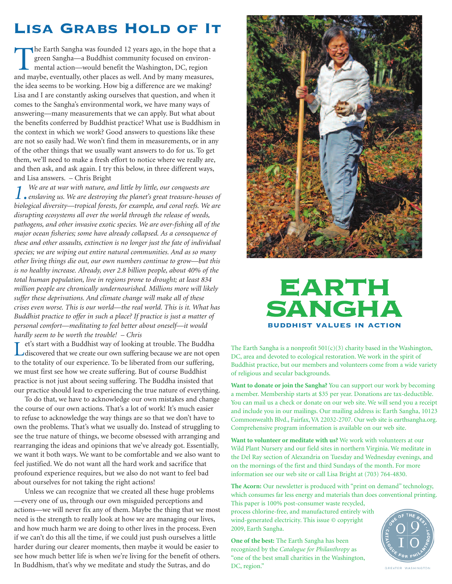## **Lisa Grabs Hold of It**

The Earth Sangha was founded 12 years ago, in the hope that a green Sangha—a Buddhist community focused on environ-<br>mental action—would benefit the Washington, DC, region<br>and maybe eventually other places as well. And by m green Sangha—a Buddhist community focused on environmental action—would benefit the Washington, DC, region and maybe, eventually, other places as well. And by many measures, the idea seems to be working. How big a difference are we making? Lisa and I are constantly asking ourselves that question, and when it comes to the Sangha's environmental work, we have many ways of answering—many measurements that we can apply. But what about the benefits conferred by Buddhist practice? What use is Buddhism in the context in which we work? Good answers to questions like these are not so easily had. We won't find them in measurements, or in any of the other things that we usually want answers to do for us. To get them, we'll need to make a fresh effort to notice where we really are, and then ask, and ask again. I try this below, in three different ways, and Lisa answers. – Chris Bright

*1. enslaving us. We are destroying the planet's great treasure-houses of We are at war with nature, and little by little, our conquests are biological diversity—tropical forests, for example, and coral reefs. We are disrupting ecosystems all over the world through the release of weeds, pathogens, and other invasive exotic species. We are over-fishing all of the major ocean fisheries; some have already collapsed. As a consequence of these and other assaults, extinction is no longer just the fate of individual species; we are wiping out entire natural communities. And as so many other living things die out, our own numbers continue to grow—but this is no healthy increase. Already, over 2.8 billion people, about 40% of the total human population, live in regions prone to drought; at least 834 million people are chronically undernourished. Millions more will likely suffer these deprivations. And climate change will make all of these crises even worse. This is our world—the real world. This is it. What has Buddhist practice to offer in such a place? If practice is just a matter of personal comfort—meditating to feel better about oneself—it would hardly seem to be worth the trouble! – Chris*

Let's start with a Buddhist way of looking at trouble. The Buddha<br>discovered that we create our own suffering because we are not open to the totality of our experience. To be liberated from our suffering, we must first see how we create suffering. But of course Buddhist practice is not just about seeing suffering. The Buddha insisted that our practice should lead to experiencing the true nature of everything.

To do that, we have to acknowledge our own mistakes and change the course of our own actions. That's a lot of work! It's much easier to refuse to acknowledge the way things are so that we don't have to own the problems. That's what we usually do. Instead of struggling to see the true nature of things, we become obsessed with arranging and rearranging the ideas and opinions that we've already got. Essentially, we want it both ways. We want to be comfortable and we also want to feel justified. We do not want all the hard work and sacrifice that profound experience requires, but we also do not want to feel bad about ourselves for not taking the right actions!

Unless we can recognize that we created all these huge problems —every one of us, through our own misguided perceptions and actions—we will never fix any of them. Maybe the thing that we most need is the strength to really look at how we are managing our lives, and how much harm we are doing to other lives in the process. Even if we can't do this all the time, if we could just push ourselves a little harder during our clearer moments, then maybe it would be easier to see how much better life is when we're living for the benefit of others. In Buddhism, that's why we meditate and study the Sutras, and do



## **EARTH** SANGHA **buddhist values in action**

The Earth Sangha is a nonprofit  $501(c)(3)$  charity based in the Washington, DC, area and devoted to ecological restoration. We work in the spirit of Buddhist practice, but our members and volunteers come from a wide variety of religious and secular backgrounds.

**Want to donate or join the Sangha?** You can support our work by becoming a member. Membership starts at \$35 per year. Donations are tax-deductible. You can mail us a check or donate on our web site. We will send you a receipt and include you in our mailings. Our mailing address is: Earth Sangha, 10123 Commonwealth Blvd., Fairfax,VA 22032-2707. Our web site is earthsangha.org. Comprehensive program information is available on our web site.

**Want to volunteer or meditate with us?** We work with volunteers at our Wild Plant Nursery and our field sites in northern Virginia. We meditate in the Del Ray section of Alexandria on Tuesday and Wednesday evenings, and on the mornings of the first and third Sundays of the month. For more information see our web site or call Lisa Bright at (703) 764-4830.

**The Acorn:** Our newsletter is produced with "print on demand" technology, which consumes far less energy and materials than does conventional printing. This paper is 100% post-consumer waste recycled,

process chlorine-free, and manufactured entirely with wind-generated electricity. This issue © copyright 2009, Earth Sangha.

**One of the best:** The Earth Sangha has been recognized by the *Catalogue for Philanthropy* as "one of the best small charities in the Washington, DC, region."



**GREATER WASHINGTON**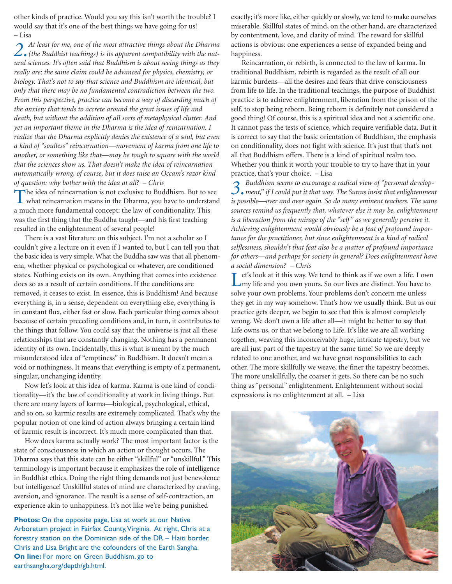other kinds of practice. Would you say this isn't worth the trouble? I would say that it's one of the best things we have going for us! – Lisa

*2. At least for me, one of the most attractive things about the Dharma (the Buddhist teachings) is its apparent compatibility with the natural sciences. It's often said that Buddhism is about seeing things as they really are; the same claim could be advanced for physics, chemistry, or biology. That's not to say that science and Buddhism are identical, but only that there may be no fundamental contradiction between the two. From this perspective, practice can become a way of discarding much of the anxiety that tends to accrete around the great issues of life and death, but without the addition of all sorts of metaphysical clutter. And yet an important theme in the Dharma is the idea of reincarnation. I realize that the Dharma explicitly denies the existence of a soul, but even a kind of "soulless" reincarnation—movement of karma from one life to another, or something like that—may be tough to square with the world that the sciences show us. That doesn't make the idea of reincarnation automatically wrong, of course, but it does raise an Occam's razor kind of question: why bother with the idea at all? – Chris*

The idea of reincarnation is not exclusive to Buddhism. But to see what reincarnation means in the Dharma, you have to understand a much more fundamental concept: the law of conditionality. This was the first thing that the Buddha taught—and his first teaching resulted in the enlightenment of several people!

There is a vast literature on this subject. I'm not a scholar so I couldn't give a lecture on it even if I wanted to, but I can tell you that the basic idea is very simple. What the Buddha saw was that all phenomena, whether physical or psychological or whatever, are conditioned states. Nothing exists on its own. Anything that comes into existence does so as a result of certain conditions. If the conditions are removed, it ceases to exist. In essence, this is Buddhism! And because everything is, in a sense, dependent on everything else, everything is in constant flux, either fast or slow. Each particular thing comes about because of certain preceding conditions and, in turn, it contributes to the things that follow. You could say that the universe is just all these relationships that are constantly changing. Nothing has a permanent identity of its own. Incidentally, this is what is meant by the much misunderstood idea of "emptiness" in Buddhism. It doesn't mean a void or nothingness. It means that everything is empty of a permanent, singular, unchanging identity.

Now let's look at this idea of karma. Karma is one kind of conditionality—it's the law of conditionality at work in living things. But there are many layers of karma—biological, psychological, ethical, and so on, so karmic results are extremely complicated. That's why the popular notion of one kind of action always bringing a certain kind of karmic result is incorrect. It's much more complicated than that.

How does karma actually work? The most important factor is the state of consciousness in which an action or thought occurs. The Dharma says that this state can be either "skillful" or "unskillful." This terminology is important because it emphasizes the role of intelligence in Buddhist ethics. Doing the right thing demands not just benevolence but intelligence! Unskillful states of mind are characterized by craving, aversion, and ignorance. The result is a sense of self-contraction, an experience akin to unhappiness. It's not like we're being punished

**Photos:** On the opposite page, Lisa at work at our Native Arboretum project in Fairfax County,Virginia. At right, Chris at a forestry station on the Dominican side of the DR – Haiti border. Chris and Lisa Bright are the cofounders of the Earth Sangha. **On line:** For more on Green Buddhism, go to earthsangha.org/depth/gb.html.

exactly; it's more like, either quickly or slowly, we tend to make ourselves miserable. Skillful states of mind, on the other hand, are characterized by contentment, love, and clarity of mind. The reward for skillful actions is obvious: one experiences a sense of expanded being and happiness.

Reincarnation, or rebirth, is connected to the law of karma. In traditional Buddhism, rebirth is regarded as the result of all our karmic burdens—all the desires and fears that drive consciousness from life to life. In the traditional teachings, the purpose of Buddhist practice is to achieve enlightenment, liberation from the prison of the self, to stop being reborn. Being reborn is definitely not considered a good thing! Of course, this is a spiritual idea and not a scientific one. It cannot pass the tests of science, which require verifiable data. But it is correct to say that the basic orientation of Buddhism, the emphasis on conditionality, does not fight with science. It's just that that's not all that Buddhism offers. There is a kind of spiritual realm too. Whether you think it worth your trouble to try to have that in your practice, that's your choice. – Lisa

*3. Buddhism seems to encourage a radical view of "personal development," if I could put it that way. The Sutras insist that enlightenment is possible—over and over again. So do many eminent teachers. The same sources remind us frequently that, whatever else it may be, enlightenment is a liberation from the mirage of the "self" as we generally perceive it. Achieving enlightenment would obviously be a feat of profound importance for the practitioner, but since enlightenment is a kind of radical selflessness, shouldn't that feat also be a matter of profound importance for others—and perhaps for society in general? Does enlightenment have a social dimension? – Chris*

Let's look at it this way. We tend to think as if we own a life. I own my life and you own yours. So our lives are distinct. You have to solve your own problems. Your problems don't concern me unless they get in my way somehow. That's how we usually think. But as our practice gets deeper, we begin to see that this is almost completely wrong. We don't own a life after all—it might be better to say that Life owns us, or that we belong to Life. It's like we are all working together, weaving this inconceivably huge, intricate tapestry, but we are all just part of the tapestry at the same time! So we are deeply related to one another, and we have great responsibilities to each other. The more skillfully we weave, the finer the tapestry becomes. The more unskillfully, the coarser it gets. So there can be no such thing as "personal" enlightenment. Enlightenment without social expressions is no enlightenment at all. – Lisa